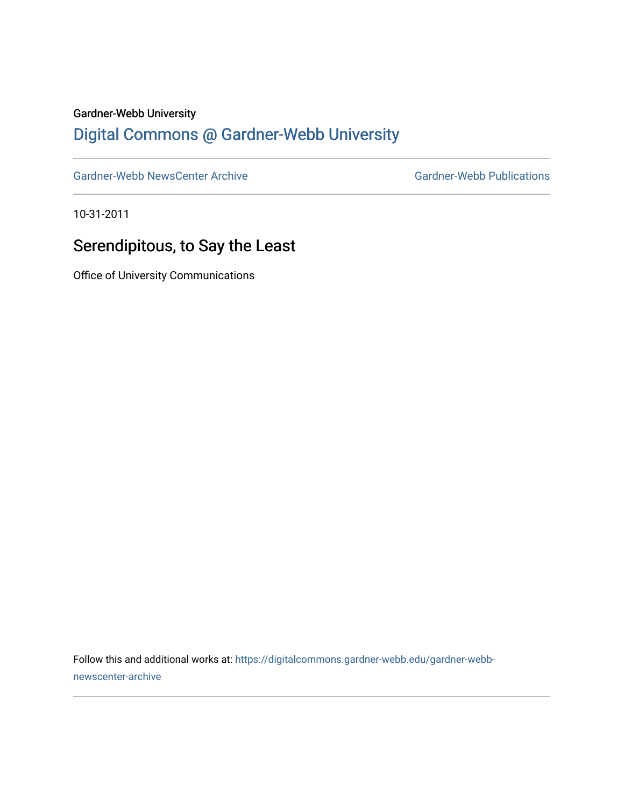#### Gardner-Webb University

## [Digital Commons @ Gardner-Webb University](https://digitalcommons.gardner-webb.edu/)

[Gardner-Webb NewsCenter Archive](https://digitalcommons.gardner-webb.edu/gardner-webb-newscenter-archive) Gardner-Webb Publications

10-31-2011

### Serendipitous, to Say the Least

Office of University Communications

Follow this and additional works at: [https://digitalcommons.gardner-webb.edu/gardner-webb](https://digitalcommons.gardner-webb.edu/gardner-webb-newscenter-archive?utm_source=digitalcommons.gardner-webb.edu%2Fgardner-webb-newscenter-archive%2F2017&utm_medium=PDF&utm_campaign=PDFCoverPages)[newscenter-archive](https://digitalcommons.gardner-webb.edu/gardner-webb-newscenter-archive?utm_source=digitalcommons.gardner-webb.edu%2Fgardner-webb-newscenter-archive%2F2017&utm_medium=PDF&utm_campaign=PDFCoverPages)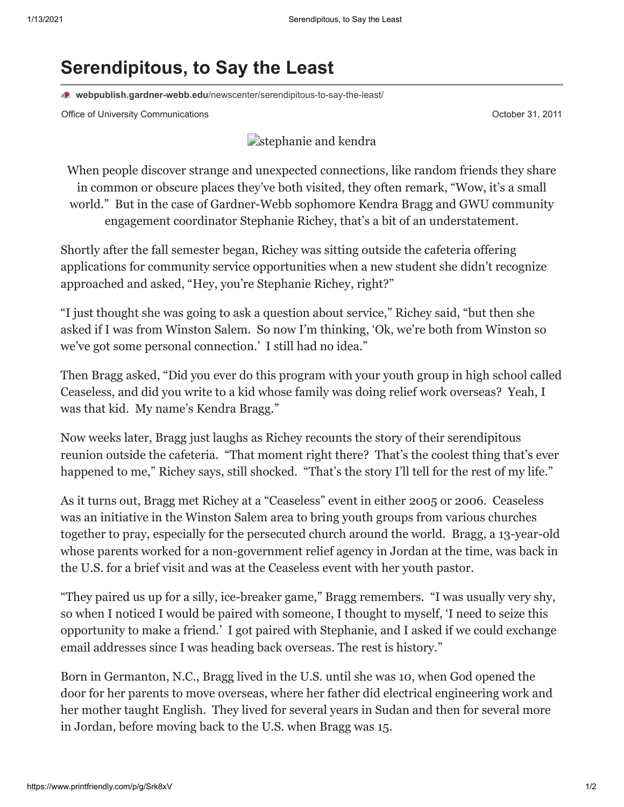# **Serendipitous, to Say the Least**

**webpublish.gardner-webb.edu**[/newscenter/serendipitous-to-say-the-least/](https://webpublish.gardner-webb.edu/newscenter/serendipitous-to-say-the-least/)

Office of University Communications **October 31, 2011** Control of University Communications **October 31, 2011** 

### [stephanie and kendra](http://152.44.63.252/newscenter/?attachment_id=964)

When people discover strange and unexpected connections, like random friends they share in common or obscure places they've both visited, they often remark, "Wow, it's a small world." But in the case of Gardner-Webb sophomore Kendra Bragg and GWU community engagement coordinator Stephanie Richey, that's a bit of an understatement.

Shortly after the fall semester began, Richey was sitting outside the cafeteria offering applications for community service opportunities when a new student she didn't recognize approached and asked, "Hey, you're Stephanie Richey, right?"

"I just thought she was going to ask a question about service," Richey said, "but then she asked if I was from Winston Salem. So now I'm thinking, 'Ok, we're both from Winston so we've got some personal connection.' I still had no idea."

Then Bragg asked, "Did you ever do this program with your youth group in high school called Ceaseless, and did you write to a kid whose family was doing relief work overseas? Yeah, I was that kid. My name's Kendra Bragg."

Now weeks later, Bragg just laughs as Richey recounts the story of their serendipitous reunion outside the cafeteria. "That moment right there? That's the coolest thing that's ever happened to me," Richey says, still shocked. "That's the story I'll tell for the rest of my life."

As it turns out, Bragg met Richey at a "Ceaseless" event in either 2005 or 2006. Ceaseless was an initiative in the Winston Salem area to bring youth groups from various churches together to pray, especially for the persecuted church around the world. Bragg, a 13-year-old whose parents worked for a non-government relief agency in Jordan at the time, was back in the U.S. for a brief visit and was at the Ceaseless event with her youth pastor.

"They paired us up for a silly, ice-breaker game," Bragg remembers. "I was usually very shy, so when I noticed I would be paired with someone, I thought to myself, 'I need to seize this opportunity to make a friend.' I got paired with Stephanie, and I asked if we could exchange email addresses since I was heading back overseas. The rest is history."

Born in Germanton, N.C., Bragg lived in the U.S. until she was 10, when God opened the door for her parents to move overseas, where her father did electrical engineering work and her mother taught English. They lived for several years in Sudan and then for several more in Jordan, before moving back to the U.S. when Bragg was 15.